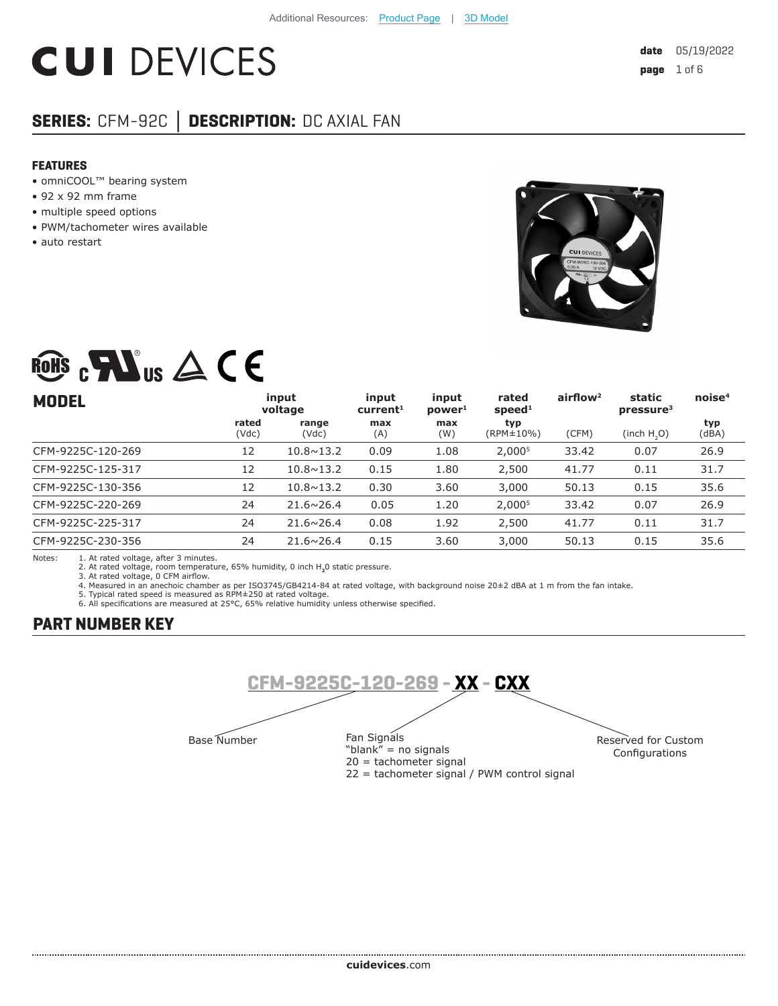# **CUI DEVICES**

## **SERIES:** CFM-92C **│ DESCRIPTION:** DC AXIAL FAN

#### **FEATURES**

- omniCOOL™ bearing system
- 92 x 92 mm frame
- multiple speed options
- PWM/tachometer wires available
- auto restart



## ROHS  $_{c}$  Mus  $\triangle$  C E

| <b>MODEL</b>      | input<br>voltage |                    | input<br>current <sup>1</sup> | input<br>power <sup>1</sup> | rated<br>speed <sup>1</sup> | airflow <sup>2</sup> | static<br>pressure <sup>3</sup> | noise <sup>4</sup> |
|-------------------|------------------|--------------------|-------------------------------|-----------------------------|-----------------------------|----------------------|---------------------------------|--------------------|
|                   | rated<br>(Vdc)   | range<br>(Vdc)     | max<br>(A)                    | max<br>(W)                  | typ<br>(RPM±10%)            | (CFM)                | (inch H, O)                     | typ<br>(dBA)       |
| CFM-9225C-120-269 | 12               | $10.8 \times 13.2$ | 0.09                          | 1.08                        | 2,000 <sup>5</sup>          | 33.42                | 0.07                            | 26.9               |
| CFM-9225C-125-317 | 12               | $10.8 \times 13.2$ | 0.15                          | 1.80                        | 2,500                       | 41.77                | 0.11                            | 31.7               |
| CFM-9225C-130-356 | 12               | $10.8 \times 13.2$ | 0.30                          | 3.60                        | 3,000                       | 50.13                | 0.15                            | 35.6               |
| CFM-9225C-220-269 | 24               | $21.6 \times 26.4$ | 0.05                          | 1.20                        | 2,000 <sup>5</sup>          | 33.42                | 0.07                            | 26.9               |
| CFM-9225C-225-317 | 24               | $21.6 \times 26.4$ | 0.08                          | 1.92                        | 2,500                       | 41.77                | 0.11                            | 31.7               |
| CFM-9225C-230-356 | 24               | $21.6 \times 26.4$ | 0.15                          | 3.60                        | 3,000                       | 50.13                | 0.15                            | 35.6               |

Notes: 1. At rated voltage, after 3 minutes. 2. At rated voltage, room temperature, 65% humidity, 0 inch H**2**0 static pressure.

3. At rated voltage, 0 CFM airflow.

4. Measured in an anechoic chamber as per ISO3745/GB4214-84 at rated voltage, with background noise 20±2 dBA at 1 m from the fan intake. 5. Typical rated speed is measured as RPM±250 at rated voltage.

6. All specifications are measured at 25°C, 65% relative humidity unless otherwise specified.

## **PART NUMBER KEY**

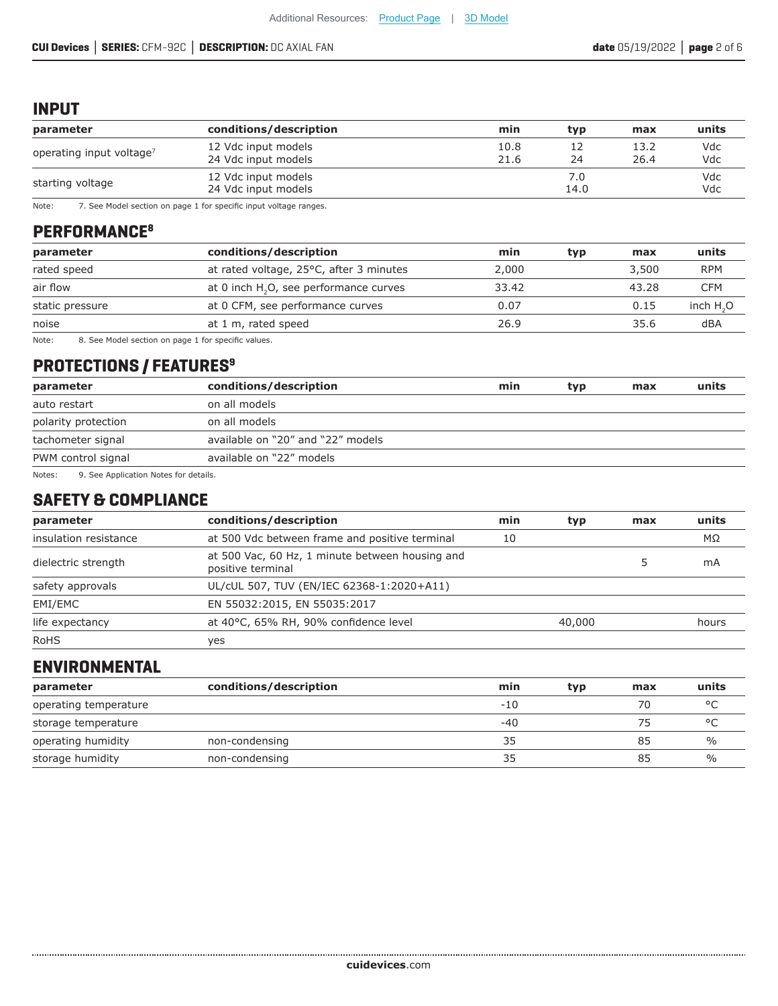## **INPUT**

| parameter                            | conditions/description                     | min          | typ         | max          | units      |
|--------------------------------------|--------------------------------------------|--------------|-------------|--------------|------------|
| operating input voltage <sup>7</sup> | 12 Vdc input models<br>24 Vdc input models | 10.8<br>21.6 | 24          | 13.2<br>26.4 | Vdc<br>Vdc |
| starting voltage                     | 12 Vdc input models<br>24 Vdc input models |              | 7.0<br>14.0 |              | Vdc<br>Vdc |

Note: 7. See Model section on page 1 for specific input voltage ranges.

## **PERFORMANCE8**

| parameter       | conditions/description                             | min   | typ | max   | units      |
|-----------------|----------------------------------------------------|-------|-----|-------|------------|
| rated speed     | at rated voltage, 25°C, after 3 minutes            | 2,000 |     | 3,500 | <b>RPM</b> |
| air flow        | at 0 inch H <sub>2</sub> O, see performance curves | 33.42 |     | 43.28 | CFM        |
| static pressure | at 0 CFM, see performance curves                   | 0.07  |     | 0.15  | inch $H2O$ |
| noise           | at 1 m, rated speed                                | 26.9  |     | 35.6  | dBA        |
|                 |                                                    |       |     |       |            |

Note: 8. See Model section on page 1 for specific values.

## **PROTECTIONS / FEATURES9**

| parameter                                      | conditions/description            | min | typ | max | units |
|------------------------------------------------|-----------------------------------|-----|-----|-----|-------|
| auto restart                                   | on all models                     |     |     |     |       |
| polarity protection                            | on all models                     |     |     |     |       |
| tachometer signal                              | available on "20" and "22" models |     |     |     |       |
| PWM control signal                             | available on "22" models          |     |     |     |       |
| 0. Cae Application Notes for details<br>Notes. |                                   |     |     |     |       |

Notes: 9. See Application Notes for details.

## **SAFETY & COMPLIANCE**

| conditions/description<br>parameter |                                                                      | min | typ    | max | units |
|-------------------------------------|----------------------------------------------------------------------|-----|--------|-----|-------|
| insulation resistance               | at 500 Vdc between frame and positive terminal                       | 10  |        |     | MΩ    |
| dielectric strength                 | at 500 Vac, 60 Hz, 1 minute between housing and<br>positive terminal |     |        |     | mA    |
| safety approvals                    | UL/cUL 507, TUV (EN/IEC 62368-1:2020+A11)                            |     |        |     |       |
| EMI/EMC                             | EN 55032:2015, EN 55035:2017                                         |     |        |     |       |
| life expectancy                     | at 40°C, 65% RH, 90% confidence level                                |     | 40,000 |     | hours |
| <b>RoHS</b>                         | ves                                                                  |     |        |     |       |

## **ENVIRONMENTAL**

| parameter             | conditions/description | min   | typ | max | units   |
|-----------------------|------------------------|-------|-----|-----|---------|
| operating temperature |                        | $-10$ |     | 70  | $\circ$ |
| storage temperature   |                        | $-40$ |     | 75  | $\circ$ |
| operating humidity    | non-condensing         | 35    |     | 85  | %       |
| storage humidity      | non-condensing         | 35    |     | 85  | %       |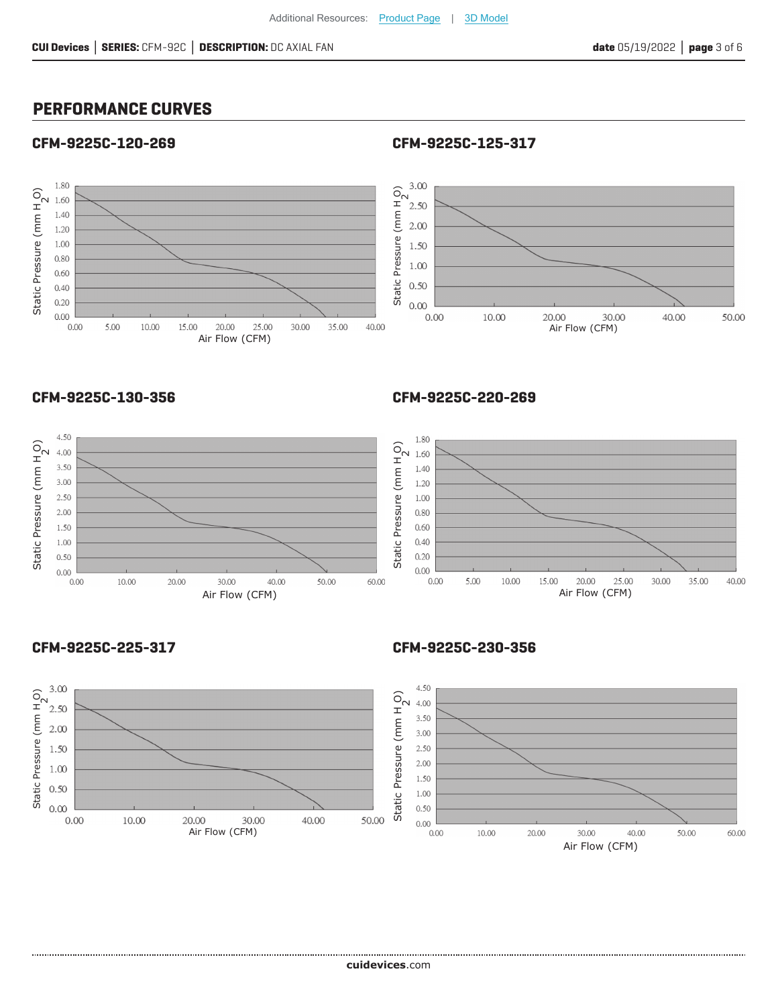## **PERFORMANCE CURVES**

#### **CFM-9225C-120-269**

**CFM-9225C-125-317**



#### **CFM-9225C-130-356**



#### **CFM-9225C-220-269**



#### **CFM-9225C-225-317**

**CFM-9225C-230-356**

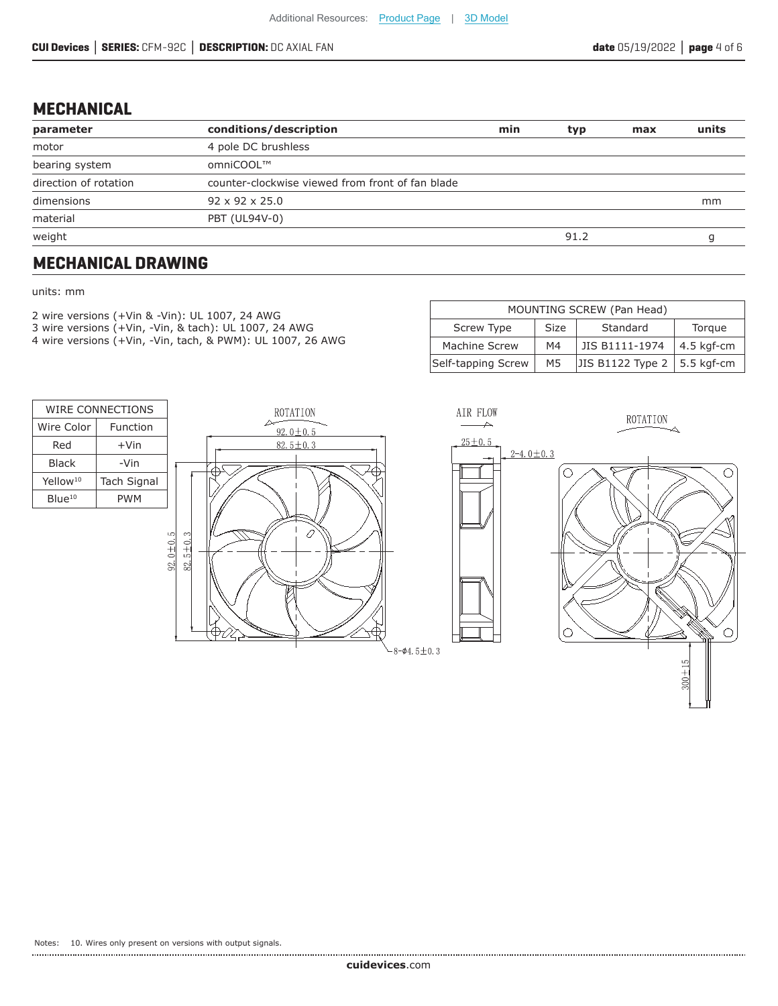## **MECHANICAL**

| parameter             | conditions/description                           | min | typ  | max | units |
|-----------------------|--------------------------------------------------|-----|------|-----|-------|
| motor                 | 4 pole DC brushless                              |     |      |     |       |
| bearing system        | omniCOOL™                                        |     |      |     |       |
| direction of rotation | counter-clockwise viewed from front of fan blade |     |      |     |       |
| dimensions            | 92 x 92 x 25.0                                   |     |      | mm  |       |
| material              | PBT (UL94V-0)                                    |     |      |     |       |
| weight                |                                                  |     | 91.2 |     |       |
|                       |                                                  |     |      |     |       |

## **MECHANICAL DRAWING**

#### units: mm

- 2 wire versions (+Vin & -Vin): UL 1007, 24 AWG
- 3 wire versions (+Vin, -Vin, & tach): UL 1007, 24 AWG
- 4 wire versions (+Vin, -Vin, tach, & PWM): UL 1007, 26 AWG

| MOUNTING SCREW (Pan Head)                              |    |                  |            |  |  |  |  |
|--------------------------------------------------------|----|------------------|------------|--|--|--|--|
| Standard<br><b>Screw Type</b><br><b>Size</b><br>Torque |    |                  |            |  |  |  |  |
| Machine Screw                                          | M4 | JIS B1111-1974   | 4.5 kgf-cm |  |  |  |  |
| Self-tapping Screw                                     | M5 | JIS B1122 Type 2 | 5.5 kgf-cm |  |  |  |  |

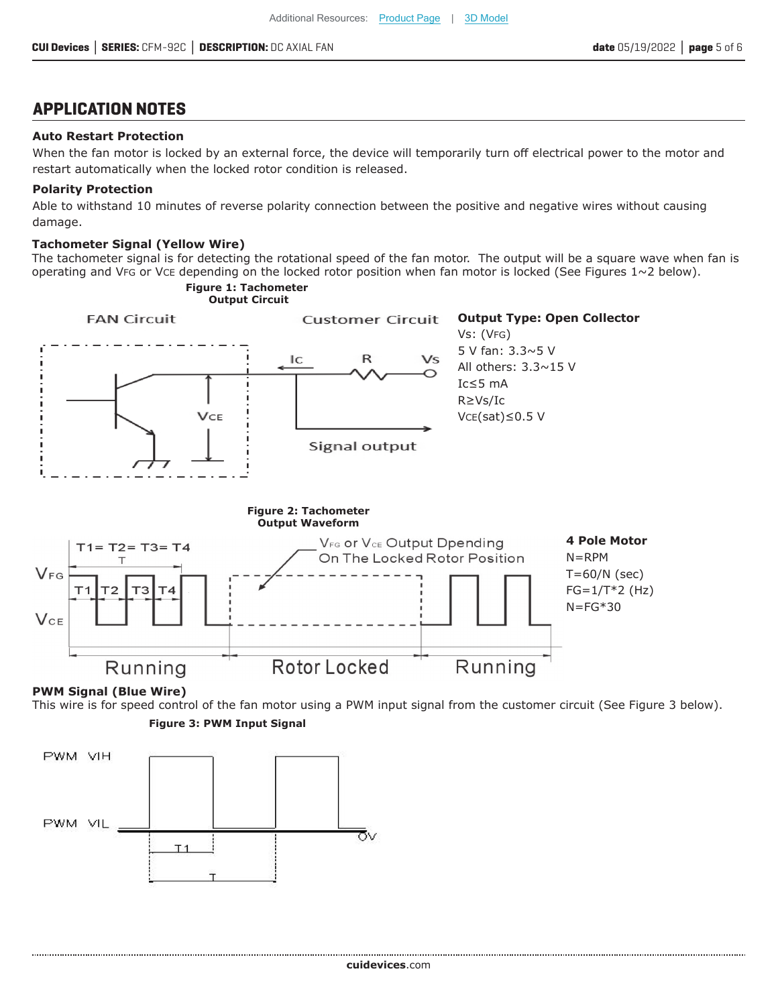## **APPLICATION NOTES**

#### **Auto Restart Protection**

When the fan motor is locked by an external force, the device will temporarily turn off electrical power to the motor and restart automatically when the locked rotor condition is released.

#### **Polarity Protection**

Able to withstand 10 minutes of reverse polarity connection between the positive and negative wires without causing damage.

#### **Tachometer Signal (Yellow Wire)**

The tachometer signal is for detecting the rotational speed of the fan motor. The output will be a square wave when fan is operating and VFG or VCE depending on the locked rotor position when fan motor is locked (See Figures  $1~2$  below).



#### **PWM Signal (Blue Wire)**

**Figure 3: PWM Input Signal** This wire is for speed control of the fan motor using a PWM input signal from the customer circuit (See Figure 3 below).